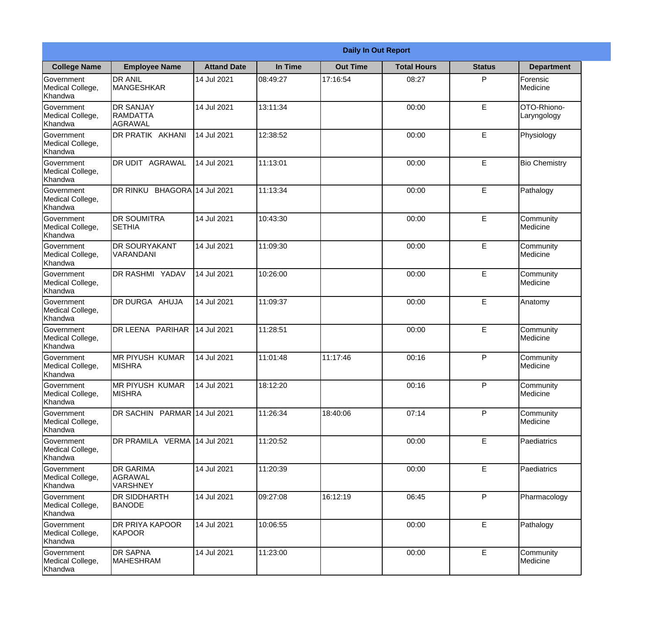|                                                  | <b>Daily In Out Report</b>                     |                    |          |                 |                    |               |                            |  |
|--------------------------------------------------|------------------------------------------------|--------------------|----------|-----------------|--------------------|---------------|----------------------------|--|
| <b>College Name</b>                              | <b>Employee Name</b>                           | <b>Attand Date</b> | In Time  | <b>Out Time</b> | <b>Total Hours</b> | <b>Status</b> | <b>Department</b>          |  |
| Government<br>Medical College,<br>Khandwa        | <b>DR ANIL</b><br><b>MANGESHKAR</b>            | 14 Jul 2021        | 08:49:27 | 17:16:54        | 08:27              | P             | Forensic<br>Medicine       |  |
| Government<br>Medical College,<br>Khandwa        | <b>DR SANJAY</b><br>RAMDATTA<br>AGRAWAL        | 14 Jul 2021        | 13:11:34 |                 | 00:00              | E             | OTO-Rhiono-<br>Laryngology |  |
| <b>Government</b><br>Medical College,<br>Khandwa | <b>DR PRATIK AKHANI</b>                        | 14 Jul 2021        | 12:38:52 |                 | 00:00              | E             | Physiology                 |  |
| Government<br>Medical College,<br>Khandwa        | <b>DR UDIT AGRAWAL</b>                         | 14 Jul 2021        | 11:13:01 |                 | 00:00              | E             | <b>Bio Chemistry</b>       |  |
| Government<br>Medical College,<br>Khandwa        | DR RINKU<br>BHAGORA 14 Jul 2021                |                    | 11:13:34 |                 | 00:00              | E             | Pathalogy                  |  |
| Government<br>Medical College,<br>Khandwa        | <b>DR SOUMITRA</b><br><b>SETHIA</b>            | 14 Jul 2021        | 10:43:30 |                 | 00:00              | E             | Community<br>Medicine      |  |
| Government<br>Medical College,<br>Khandwa        | <b>DR SOURYAKANT</b><br>VARANDANI              | 14 Jul 2021        | 11:09:30 |                 | 00:00              | E             | Community<br>Medicine      |  |
| <b>Government</b><br>Medical College,<br>Khandwa | <b>DR RASHMI YADAV</b>                         | 14 Jul 2021        | 10:26:00 |                 | 00:00              | E             | Community<br>Medicine      |  |
| Government<br>Medical College,<br>Khandwa        | DR DURGA AHUJA                                 | 14 Jul 2021        | 11:09:37 |                 | 00:00              | E             | Anatomy                    |  |
| Government<br>Medical College,<br>Khandwa        | DR LEENA PARIHAR                               | 14 Jul 2021        | 11:28:51 |                 | 00:00              | E             | Community<br>Medicine      |  |
| Government<br>Medical College,<br>Khandwa        | IMR PIYUSH KUMAR<br><b>MISHRA</b>              | 14 Jul 2021        | 11:01:48 | 11:17:46        | 00:16              | $\mathsf{P}$  | Community<br>Medicine      |  |
| Government<br>Medical College,<br>Khandwa        | <b>MR PIYUSH KUMAR</b><br><b>MISHRA</b>        | 14 Jul 2021        | 18:12:20 |                 | 00:16              | P             | Community<br>Medicine      |  |
| Government<br>Medical College,<br>Khandwa        | DR SACHIN PARMAR 14 Jul 2021                   |                    | 11:26:34 | 18:40:06        | 07:14              | P             | Community<br>Medicine      |  |
| Government<br>Medical College,<br>Khandwa        | DR PRAMILA VERMA 14 Jul 2021                   |                    | 11:20:52 |                 | 00:00              | E             | Paediatrics                |  |
| <b>Government</b><br>Medical College,<br>Khandwa | <b>DR GARIMA</b><br>AGRAWAL<br><b>VARSHNEY</b> | 14 Jul 2021        | 11:20:39 |                 | 00:00              | E             | <b>Paediatrics</b>         |  |
| Government<br>Medical College,<br>Khandwa        | <b>DR SIDDHARTH</b><br><b>BANODE</b>           | 14 Jul 2021        | 09:27:08 | 16:12:19        | 06:45              | P             | Pharmacology               |  |
| Government<br>Medical College,<br>Khandwa        | <b>DR PRIYA KAPOOR</b><br>KAPOOR               | 14 Jul 2021        | 10:06:55 |                 | 00:00              | E             | Pathalogy                  |  |
| Government<br>Medical College,<br>Khandwa        | <b>DR SAPNA</b><br><b>MAHESHRAM</b>            | 14 Jul 2021        | 11:23:00 |                 | 00:00              | E             | Community<br>Medicine      |  |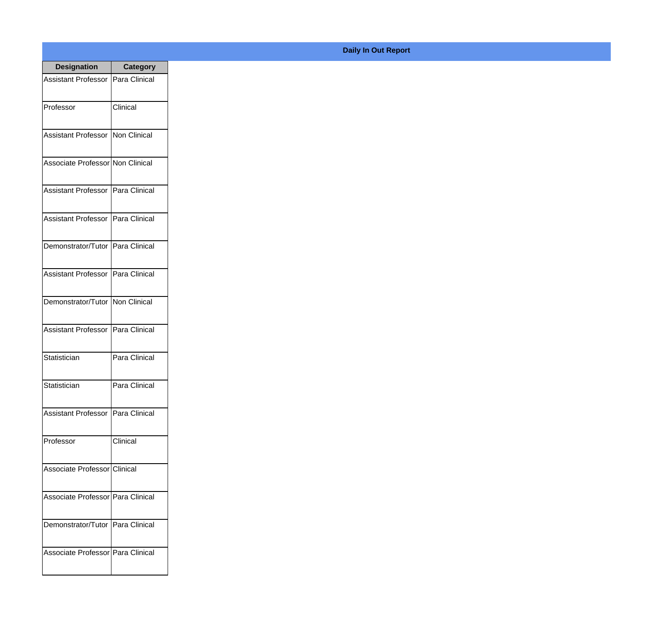| <b>Designation</b>                  | <b>Category</b> |
|-------------------------------------|-----------------|
| Assistant Professor   Para Clinical |                 |
| Professor                           | Clinical        |
| Assistant Professor   Non Clinical  |                 |
| Associate Professor Non Clinical    |                 |
| <b>Assistant Professor</b>          | Para Clinical   |
| Assistant Professor   Para Clinical |                 |
| Demonstrator/Tutor   Para Clinical  |                 |
| Assistant Professor   Para Clinical |                 |
| Demonstrator/Tutor   Non Clinical   |                 |
| <b>Assistant Professor</b>          | Para Clinical   |
| Statistician                        | Para Clinical   |
| Statistician                        | Para Clinical   |
| Assistant Professor   Para Clinical |                 |
| Professor                           | Clinical        |
| Associate Professor Clinical        |                 |
| Associate Professor   Para Clinical |                 |
| Demonstrator/Tutor   Para Clinical  |                 |
| Associate Professor   Para Clinical |                 |

## **Daily In Out Report**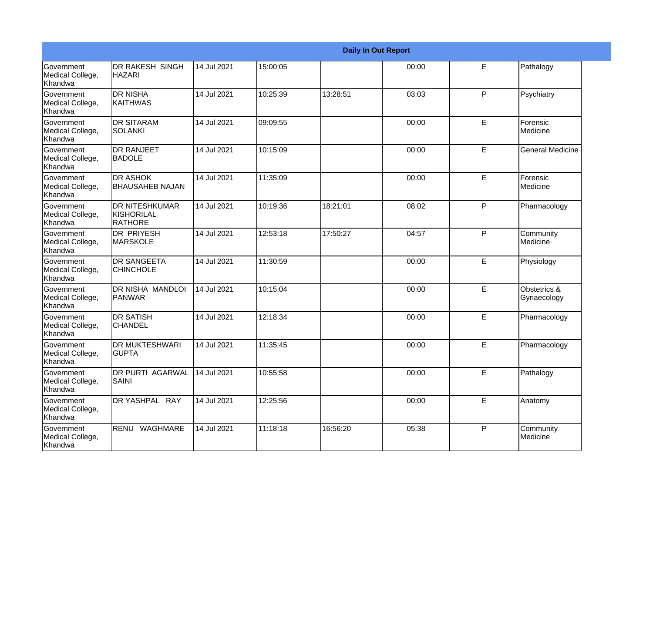|                                                  |                                                 |             |          |          | <b>Daily In Out Report</b> |   |                             |
|--------------------------------------------------|-------------------------------------------------|-------------|----------|----------|----------------------------|---|-----------------------------|
| Government<br>Medical College,<br>Khandwa        | <b>DR RAKESH SINGH</b><br><b>HAZARI</b>         | 14 Jul 2021 | 15:00:05 |          | 00:00                      | E | Pathalogy                   |
| Government<br>Medical College,<br>Khandwa        | <b>DR NISHA</b><br>KAITHWAS                     | 14 Jul 2021 | 10:25:39 | 13:28:51 | 03:03                      | P | Psychiatry                  |
| Government<br>Medical College,<br>Khandwa        | <b>DR SITARAM</b><br>SOLANKI                    | 14 Jul 2021 | 09:09:55 |          | 00:00                      | E | Forensic<br>Medicine        |
| Government<br>Medical College,<br>Khandwa        | <b>DR RANJEET</b><br><b>BADOLE</b>              | 14 Jul 2021 | 10:15:09 |          | 00:00                      | E | <b>General Medicine</b>     |
| Government<br>Medical College,<br>Khandwa        | <b>DR ASHOK</b><br><b>BHAUSAHEB NAJAN</b>       | 14 Jul 2021 | 11:35:09 |          | 00:00                      | E | Forensic<br>Medicine        |
| Government<br>Medical College,<br>Khandwa        | <b>IDR NITESHKUMAR</b><br>KISHORILAL<br>RATHORE | 14 Jul 2021 | 10:19:36 | 18:21:01 | 08:02                      | P | Pharmacology                |
| Government<br>Medical College,<br>Khandwa        | DR PRIYESH<br><b>MARSKOLE</b>                   | 14 Jul 2021 | 12:53:18 | 17:50:27 | 04:57                      | P | Community<br>Medicine       |
| Government<br>Medical College,<br>Khandwa        | <b>DR SANGEETA</b><br><b>CHINCHOLE</b>          | 14 Jul 2021 | 11:30:59 |          | 00:00                      | E | Physiology                  |
| Government<br>Medical College,<br>Khandwa        | DR NISHA MANDLOI<br>PANWAR                      | 14 Jul 2021 | 10:15:04 |          | 00:00                      | E | Obstetrics &<br>Gynaecology |
| Government<br>Medical College,<br>Khandwa        | <b>DR SATISH</b><br><b>CHANDEL</b>              | 14 Jul 2021 | 12:18:34 |          | 00:00                      | E | Pharmacology                |
| Government<br>Medical College,<br>Khandwa        | <b>DR MUKTESHWARI</b><br><b>GUPTA</b>           | 14 Jul 2021 | 11:35:45 |          | 00:00                      | E | Pharmacology                |
| <b>Government</b><br>Medical College,<br>Khandwa | <b>DR PURTI AGARWAL</b><br>SAINI                | 14 Jul 2021 | 10:55:58 |          | 00:00                      | E | Pathalogy                   |
| Government<br>Medical College,<br>Khandwa        | DR YASHPAL RAY                                  | 14 Jul 2021 | 12:25:56 |          | 00:00                      | E | Anatomy                     |
| Government<br>Medical College,<br>Khandwa        | RENU WAGHMARE                                   | 14 Jul 2021 | 11:18:18 | 16:56:20 | 05:38                      | P | Community<br>Medicine       |